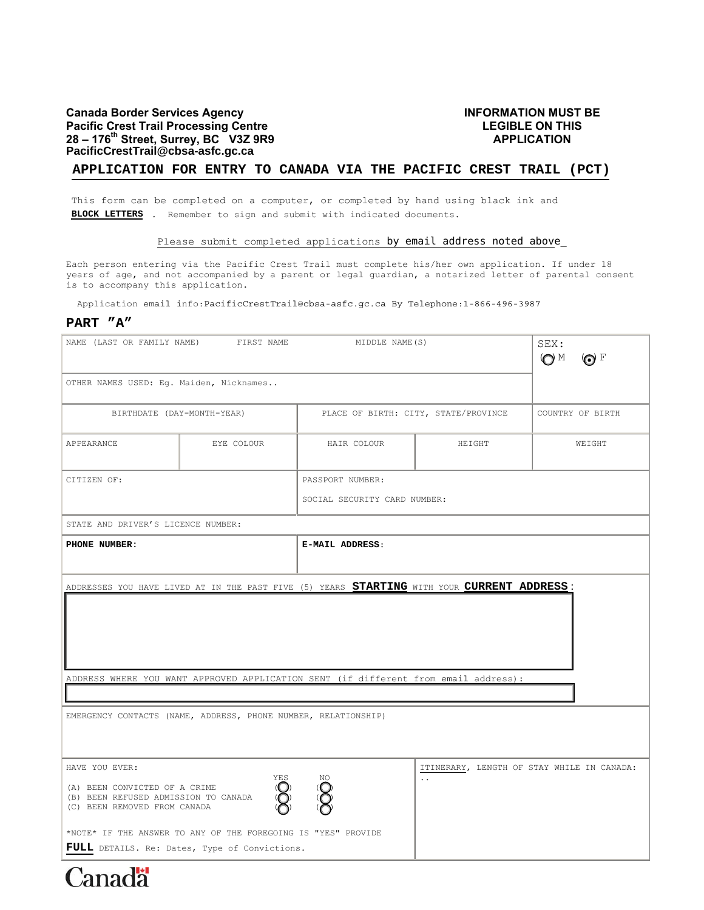# **Canada Border Services Agency Pacific Crest Trail Processing Centre 28 – 176th Street, Surrey, BC V3Z 9R9 PacificCrestTrail@cbsa-asfc.gc.ca**

# **INFORMATION MUST BE LEGIBLE ON THIS APPLICATION**

### **APPLICATION FOR ENTRY TO CANADA VIA THE PACIFIC CREST TRAIL (PCT)**

This form can be completed on a computer, or completed by hand using black ink and **BLOCK LETTERS** . Remember to sign and submit with indicated documents.

#### Please submit completed applications by email address noted above\_

Each person entering via the Pacific Crest Trail must complete his/her own application. If under 18 years of age, and not accompanied by a parent or legal guardian, a notarized letter of parental consent is to accompany this application.

Application email info:PacificCrestTrail@cbsa-asfc.gc.ca By Telephone:1-866-496-3987

## **PART "A"**

| NAME (LAST OR FAMILY NAME)<br>FIRST NAME                                                                                                                                                                                                                                                                                               |            | MIDDLE NAME (S)                      |        | SEX:<br><b>OM</b><br>$\odot$ F |  |
|----------------------------------------------------------------------------------------------------------------------------------------------------------------------------------------------------------------------------------------------------------------------------------------------------------------------------------------|------------|--------------------------------------|--------|--------------------------------|--|
| OTHER NAMES USED: Eg. Maiden, Nicknames                                                                                                                                                                                                                                                                                                |            |                                      |        |                                |  |
| BIRTHDATE (DAY-MONTH-YEAR)                                                                                                                                                                                                                                                                                                             |            | PLACE OF BIRTH: CITY, STATE/PROVINCE |        | COUNTRY OF BIRTH               |  |
| APPEARANCE                                                                                                                                                                                                                                                                                                                             | EYE COLOUR | HAIR COLOUR                          | HEIGHT | WEIGHT                         |  |
| CITIZEN OF:                                                                                                                                                                                                                                                                                                                            |            | PASSPORT NUMBER:                     |        |                                |  |
|                                                                                                                                                                                                                                                                                                                                        |            | SOCIAL SECURITY CARD NUMBER:         |        |                                |  |
| STATE AND DRIVER'S LICENCE NUMBER:                                                                                                                                                                                                                                                                                                     |            |                                      |        |                                |  |
| PHONE NUMBER:                                                                                                                                                                                                                                                                                                                          |            | E-MAIL ADDRESS:                      |        |                                |  |
| ADDRESSES YOU HAVE LIVED AT IN THE PAST FIVE (5) YEARS <b>STARTING</b> WITH YOUR CURRENT ADDRESS:<br>ADDRESS WHERE YOU WANT APPROVED APPLICATION SENT (if different from email address):                                                                                                                                               |            |                                      |        |                                |  |
| EMERGENCY CONTACTS (NAME, ADDRESS, PHONE NUMBER, RELATIONSHIP)                                                                                                                                                                                                                                                                         |            |                                      |        |                                |  |
| HAVE YOU EVER:<br>ITINERARY, LENGTH OF STAY WHILE IN CANADA:<br>YES<br>(O)<br>$\sum_{i=1}^{N}$<br>$\ddotsc$<br>(A) BEEN CONVICTED OF A CRIME<br>(B) BEEN REFUSED ADMISSION TO CANADA<br>(C) BEEN REMOVED FROM CANADA<br>*NOTE* IF THE ANSWER TO ANY OF THE FOREGOING IS "YES" PROVIDE<br>FULL DETAILS. Re: Dates, Type of Convictions. |            |                                      |        |                                |  |